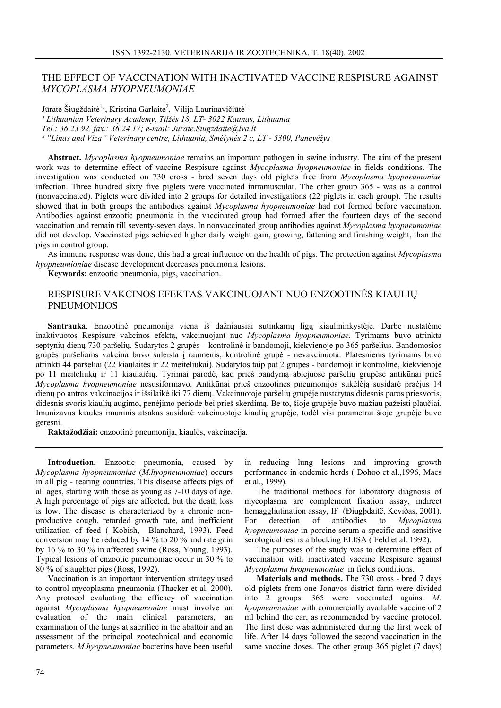## THE EFFECT OF VACCINATION WITH INACTIVATED VACCINE RESPISURE AGAINST *MYCOPLASMA HYOPNEUMONIAE*

Jūratė Šiugždaitė<sup>1,</sup>, Kristina Garlaitė<sup>2</sup>, Vilija Laurinavičiūtė<sup>1</sup> *¹ Lithuanian Veterinary Academy, Tilžės 18, LT- 3022 Kaunas, Lithuania Tel.: 36 23 92, fax.: 36 24 17; e-mail: Jurate.Siugzdaite@lva.lt ² "Linas and Viza" Veterinary centre, Lithuania, Smėlynės 2 c, LT - 5300, Panevėžys* 

**Abstract.** *Mycoplasma hyopneumoniae* remains an important pathogen in swine industry. The aim of the present work was to determine effect of vaccine Respisure against *Mycoplasma hyopneumoniae* in fields conditions. The investigation was conducted on 730 cross - bred seven days old piglets free from *Mycoplasma hyopneumoniae*  infection. Three hundred sixty five piglets were vaccinated intramuscular. The other group 365 - was as a control (nonvaccinated). Piglets were divided into 2 groups for detailed investigations (22 piglets in each group). The results showed that in both groups the antibodies against *Mycoplasma hyopneumoniae* had not formed before vaccination. Antibodies against enzootic pneumonia in the vaccinated group had formed after the fourteen days of the second vaccination and remain till seventy-seven days. In nonvaccinated group antibodies against *Mycoplasma hyopneumoniae* did not develop. Vaccinated pigs achieved higher daily weight gain, growing, fattening and finishing weight, than the pigs in control group.

As immune response was done, this had a great influence on the health of pigs. The protection against *Mycoplasma hyopneumioniae* disease development decreases pneumonia lesions.

**Keywords:** enzootic pneumonia, pigs, vaccination.

## RESPISURE VAKCINOS EFEKTAS VAKCINUOJANT NUO ENZOOTINĖS KIAULIŲ PNEUMONIJOS

**Santrauka**. Enzootinė pneumonija viena iš dažniausiai sutinkamų ligų kiaulininkystėje. Darbe nustatėme inaktivuotos Respisure vakcinos efektą, vakcinuojant nuo *Mycoplasma hyopneumoniae.* Tyrimams buvo atrinkta septynių dienų 730 paršelių. Sudarytos 2 grupės – kontrolinė ir bandomoji, kiekvienoje po 365 paršelius. Bandomosios grupės paršeliams vakcina buvo suleista į raumenis, kontrolinė grupė - nevakcinuota. Platesniems tyrimams buvo atrinkti 44 paršeliai (22 kiaulaitės ir 22 meiteliukai). Sudarytos taip pat 2 grupės - bandomoji ir kontrolinė, kiekvienoje po 11 meiteliukų ir 11 kiaulaičių. Tyrimai parodė, kad prieš bandymą abiejuose paršelių grupėse antikūnai prieš *Mycoplasma hyopneumoniae* nesusiformavo. Antikūnai prieš enzootinės pneumonijos sukėlėją susidarė praėjus 14 dienų po antros vakcinacijos ir išsilaikė iki 77 dienų. Vakcinuotoje paršelių grupėje nustatytas didesnis paros priesvoris, didesnis svoris kiaulių augimo, penėjimo periode bei prieš skerdimą. Be to, šioje grupėje buvo mažiau pažeisti plaučiai. Imunizavus kiaules imuninis atsakas susidarė vakcinuotoje kiaulių grupėje, todėl visi parametrai šioje grupėje buvo geresni.

**Raktažodžiai:** enzootinė pneumonija, kiaulės, vakcinacija.

**Introduction.** Enzootic pneumonia, caused by *Mycoplasma hyopneumoniae* (*M.hyopneumoniae*) occurs in all pig - rearing countries. This disease affects pigs of all ages, starting with those as young as 7-10 days of age. A high percentage of pigs are affected, but the death loss is low. The disease is characterized by a chronic nonproductive cough, retarded growth rate, and inefficient utilization of feed ( Kobish, Blanchard, 1993). Feed conversion may be reduced by 14 % to 20 % and rate gain by 16 % to 30 % in affected swine (Ross, Young, 1993). Typical lesions of enzootic pneumoniae occur in 30 % to 80 % of slaughter pigs (Ross, 1992).

Vaccination is an important intervention strategy used to control mycoplasma pneumonia (Thacker et al. 2000). Any protocol evaluating the efficacy of vaccination against *Mycoplasma hyopneumoniae* must involve an evaluation of the main clinical parameters, an examination of the lungs at sacrifice in the abattoir and an assessment of the principal zootechnical and economic parameters. *M.hyopneumoniae* bacterins have been useful

in reducing lung lesions and improving growth performance in endemic herds ( Dohoo et al.,1996, Maes et al., 1999).

The traditional methods for laboratory diagnosis of mycoplasma are complement fixation assay, indirect hemaggliutination assay, IF (Điugþdaitë, Keviðas, 2001).<br>For detection of antibodies to Mycoplasma For detection of antibodies to *Mycoplasma hyopneumoniae* in porcine serum a specific and sensitive serological test is a blocking ELISA ( Feld et al. 1992).

The purposes of the study was to determine effect of vaccination with inactivated vaccine Respisure against *Mycoplasma hyopneumoniae* in fields conditions.

**Materials and methods.** The 730 cross - bred 7 days old piglets from one Jonavos district farm were divided into 2 groups: 365 were vaccinated against *M. hyopneumoniae* with commercially available vaccine of 2 ml behind the ear, as recommended by vaccine protocol. The first dose was administered during the first week of life. After 14 days followed the second vaccination in the same vaccine doses. The other group 365 piglet (7 days)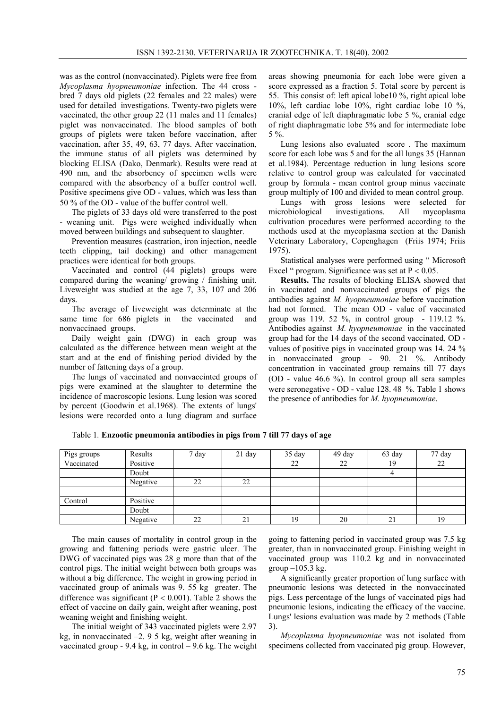was as the control (nonvaccinated). Piglets were free from *Mycoplasma hyopneumoniae* infection. The 44 cross bred 7 days old piglets (22 females and 22 males) were used for detailed investigations. Twenty-two piglets were vaccinated, the other group 22 (11 males and 11 females) piglet was nonvaccinated. The blood samples of both groups of piglets were taken before vaccination, after vaccination, after 35, 49, 63, 77 days. After vaccination, the immune status of all piglets was determined by blocking ELISA (Dako, Denmark). Results were read at 490 nm, and the absorbency of specimen wells were compared with the absorbency of a buffer control well. Positive specimens give OD - values, which was less than 50 % of the OD - value of the buffer control well.

The piglets of 33 days old were transferred to the post - weaning unit. Pigs were weighed individually when moved between buildings and subsequent to slaughter.

Prevention measures (castration, iron injection, needle teeth clipping, tail docking) and other management practices were identical for both groups.

Vaccinated and control (44 piglets) groups were compared during the weaning/ growing / finishing unit. Liveweight was studied at the age 7, 33, 107 and 206 days.

The average of liveweight was determinate at the same time for 686 piglets in the vaccinated and nonvaccinaed groups.

Daily weight gain (DWG) in each group was calculated as the difference between mean weight at the start and at the end of finishing period divided by the number of fattening days of a group.

The lungs of vaccinated and nonvaccinted groups of pigs were examined at the slaughter to determine the incidence of macroscopic lesions. Lung lesion was scored by percent (Goodwin et al.1968). The extents of lungs' lesions were recorded onto a lung diagram and surface areas showing pneumonia for each lobe were given a score expressed as a fraction 5. Total score by percent is 55. This consist of: left apical lobe10 %, right apical lobe 10%, left cardiac lobe 10%, right cardiac lobe 10 %, cranial edge of left diaphragmatic lobe 5 %, cranial edge of right diaphragmatic lobe 5% and for intermediate lobe 5 %.

Lung lesions also evaluated score . The maximum score for each lobe was 5 and for the all lungs 35 (Hannan et al.1984). Percentage reduction in lung lesions score relative to control group was calculated for vaccinated group by formula - mean control group minus vaccinate group multiply of 100 and divided to mean control group.

Lungs with gross lesions were selected for microbiological investigations. All mycoplasma cultivation procedures were performed according to the methods used at the mycoplasma section at the Danish Veterinary Laboratory, Copenghagen (Friis 1974; Friis 1975).

Statistical analyses were performed using " Microsoft Excel " program. Significance was set at  $P < 0.05$ .

**Results.** The results of blocking ELISA showed that in vaccinated and nonvaccinated groups of pigs the antibodies against *M. hyopneumoniae* before vaccination had not formed. The mean OD - value of vaccinated group was 119. 52 %, in control group - 119.12 %. Antibodies against *M. hyopneumoniae* in the vaccinated group had for the 14 days of the second vaccinated, OD values of positive pigs in vaccinated group was 14. 24 % in nonvaccinated group - 90. 21 %. Antibody concentration in vaccinated group remains till 77 days (OD - value 46.6 %). In control group all sera samples were seronegative - OD - value 128. 48 %. Table 1 shows the presence of antibodies for *M. hyopneumoniae*.

| Pigs groups | Results  | 7 day | $21$ day | 35 day | 49 day | 63 day                | 77 day |
|-------------|----------|-------|----------|--------|--------|-----------------------|--------|
| Vaccinated  | Positive |       |          | 22     | 22     | 19                    | 22     |
|             | Doubt    |       |          |        |        |                       |        |
|             | Negative | 22    | 22       |        |        |                       |        |
|             |          |       |          |        |        |                       |        |
| Control     | Positive |       |          |        |        |                       |        |
|             | Doubt    |       |          |        |        |                       |        |
|             | Negative | 22    | 21       | 19     | 20     | $\bigcap$<br>$\angle$ | 19     |

Table 1*.* **Enzootic pneumonia antibodies in pigs from 7 till 77 days of age**

The main causes of mortality in control group in the growing and fattening periods were gastric ulcer. The DWG of vaccinated pigs was 28 g more than that of the control pigs. The initial weight between both groups was without a big difference. The weight in growing period in vaccinated group of animals was 9. 55 kg greater. The difference was significant ( $P < 0.001$ ). Table 2 shows the effect of vaccine on daily gain, weight after weaning, post weaning weight and finishing weight.

The initial weight of 343 vaccinated piglets were 2.97 kg, in nonvaccinated  $-2$ . 9 5 kg, weight after weaning in vaccinated group  $-9.4$  kg, in control  $-9.6$  kg. The weight going to fattening period in vaccinated group was 7.5 kg greater, than in nonvaccinated group. Finishing weight in vaccinated group was 110.2 kg and in nonvaccinated group  $-105.3$  kg.

A significantly greater proportion of lung surface with pneumonic lesions was detected in the nonvaccinated pigs. Less percentage of the lungs of vaccinated pigs had pneumonic lesions, indicating the efficacy of the vaccine. Lungs' lesions evaluation was made by 2 methods (Table 3).

*Mycoplasma hyopneumoniae* was not isolated from specimens collected from vaccinated pig group. However,